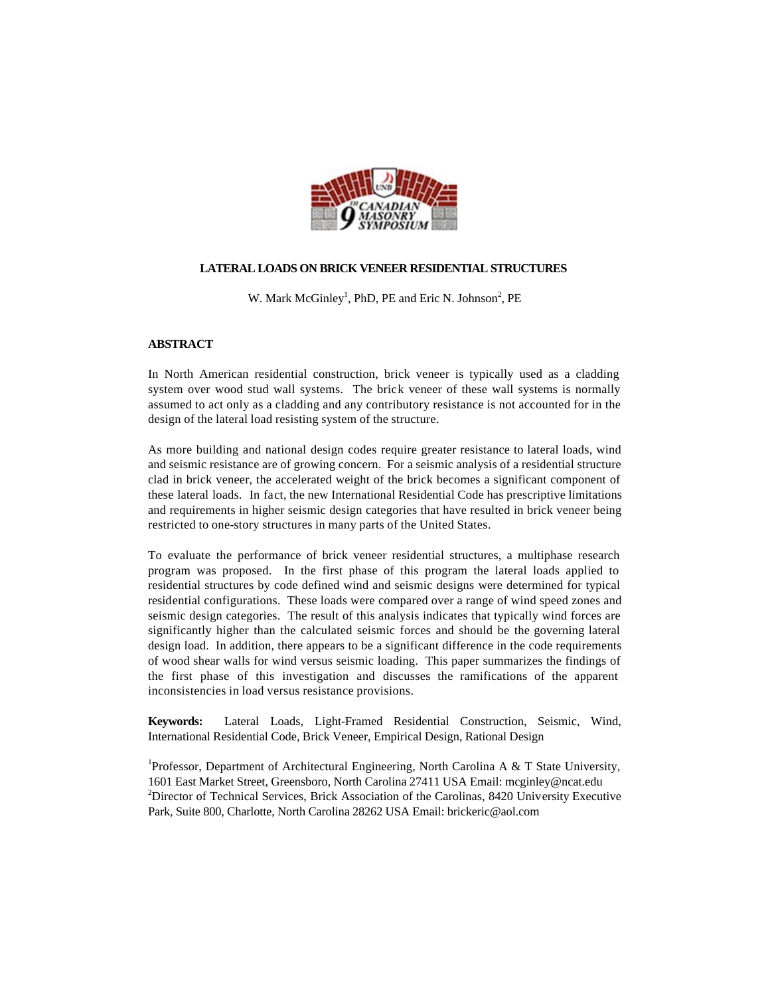

# **LATERAL LOADS ON BRICK VENEER RESIDENTIAL STRUCTURES**

W. Mark McGinley<sup>1</sup>, PhD, PE and Eric N. Johnson<sup>2</sup>, PE

# **ABSTRACT**

In North American residential construction, brick veneer is typically used as a cladding system over wood stud wall systems. The brick veneer of these wall systems is normally assumed to act only as a cladding and any contributory resistance is not accounted for in the design of the lateral load resisting system of the structure.

As more building and national design codes require greater resistance to lateral loads, wind and seismic resistance are of growing concern. For a seismic analysis of a residential structure clad in brick veneer, the accelerated weight of the brick becomes a significant component of these lateral loads. In fact, the new International Residential Code has prescriptive limitations and requirements in higher seismic design categories that have resulted in brick veneer being restricted to one-story structures in many parts of the United States.

To evaluate the performance of brick veneer residential structures, a multiphase research program was proposed. In the first phase of this program the lateral loads applied to residential structures by code defined wind and seismic designs were determined for typical residential configurations. These loads were compared over a range of wind speed zones and seismic design categories. The result of this analysis indicates that typically wind forces are significantly higher than the calculated seismic forces and should be the governing lateral design load. In addition, there appears to be a significant difference in the code requirements of wood shear walls for wind versus seismic loading. This paper summarizes the findings of the first phase of this investigation and discusses the ramifications of the apparent inconsistencies in load versus resistance provisions.

**Keywords:** Lateral Loads, Light-Framed Residential Construction, Seismic, Wind, International Residential Code, Brick Veneer, Empirical Design, Rational Design

<sup>1</sup>Professor, Department of Architectural Engineering, North Carolina A & T State University, 1601 East Market Street, Greensboro, North Carolina 27411 USA Email: mcginley@ncat.edu <sup>2</sup>Director of Technical Services, Brick Association of the Carolinas, 8420 University Executive Park, Suite 800, Charlotte, North Carolina 28262 USA Email: brickeric@aol.com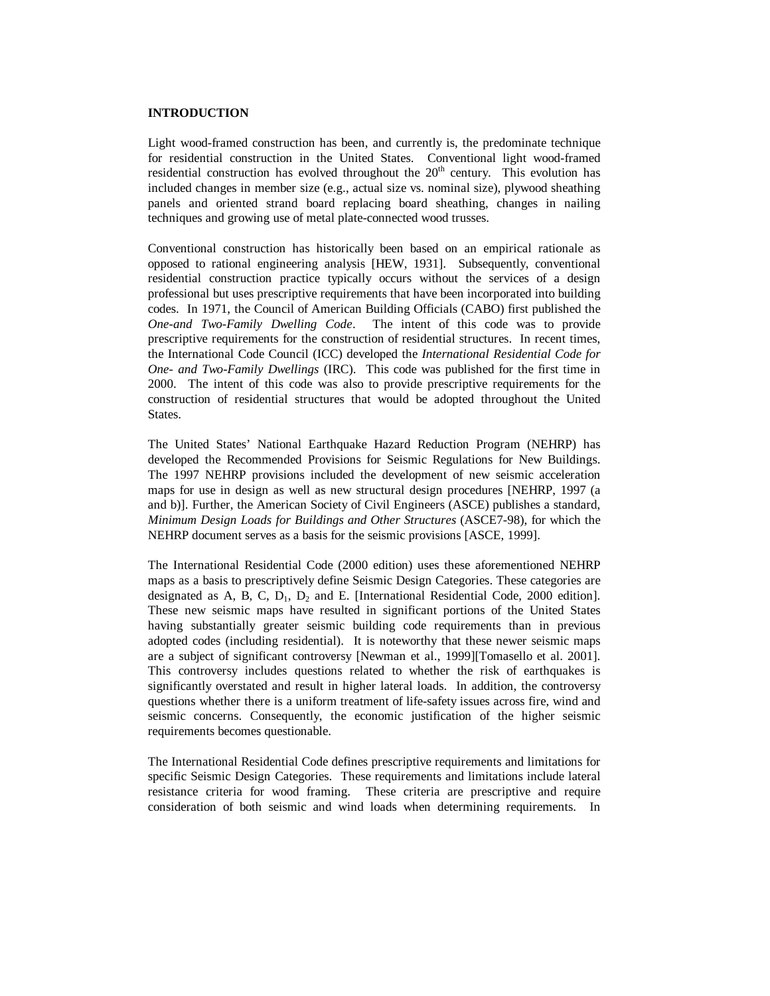#### **INTRODUCTION**

Light wood-framed construction has been, and currently is, the predominate technique for residential construction in the United States. Conventional light wood-framed residential construction has evolved throughout the  $20<sup>th</sup>$  century. This evolution has included changes in member size (e.g., actual size vs. nominal size), plywood sheathing panels and oriented strand board replacing board sheathing, changes in nailing techniques and growing use of metal plate-connected wood trusses.

Conventional construction has historically been based on an empirical rationale as opposed to rational engineering analysis [HEW, 1931]. Subsequently, conventional residential construction practice typically occurs without the services of a design professional but uses prescriptive requirements that have been incorporated into building codes. In 1971, the Council of American Building Officials (CABO) first published the *One-and Two-Family Dwelling Code*. The intent of this code was to provide prescriptive requirements for the construction of residential structures. In recent times, the International Code Council (ICC) developed the *International Residential Code for One- and Two-Family Dwellings* (IRC). This code was published for the first time in 2000. The intent of this code was also to provide prescriptive requirements for the construction of residential structures that would be adopted throughout the United States.

The United States' National Earthquake Hazard Reduction Program (NEHRP) has developed the Recommended Provisions for Seismic Regulations for New Buildings. The 1997 NEHRP provisions included the development of new seismic acceleration maps for use in design as well as new structural design procedures [NEHRP, 1997 (a and b)]. Further, the American Society of Civil Engineers (ASCE) publishes a standard, *Minimum Design Loads for Buildings and Other Structures* (ASCE7-98), for which the NEHRP document serves as a basis for the seismic provisions [ASCE, 1999].

The International Residential Code (2000 edition) uses these aforementioned NEHRP maps as a basis to prescriptively define Seismic Design Categories. These categories are designated as A, B, C,  $D_1$ ,  $D_2$  and E. [International Residential Code, 2000 edition]. These new seismic maps have resulted in significant portions of the United States having substantially greater seismic building code requirements than in previous adopted codes (including residential). It is noteworthy that these newer seismic maps are a subject of significant controversy [Newman et al., 1999][Tomasello et al. 2001]. This controversy includes questions related to whether the risk of earthquakes is significantly overstated and result in higher lateral loads. In addition, the controversy questions whether there is a uniform treatment of life-safety issues across fire, wind and seismic concerns. Consequently, the economic justification of the higher seismic requirements becomes questionable.

The International Residential Code defines prescriptive requirements and limitations for specific Seismic Design Categories. These requirements and limitations include lateral resistance criteria for wood framing. These criteria are prescriptive and require consideration of both seismic and wind loads when determining requirements. In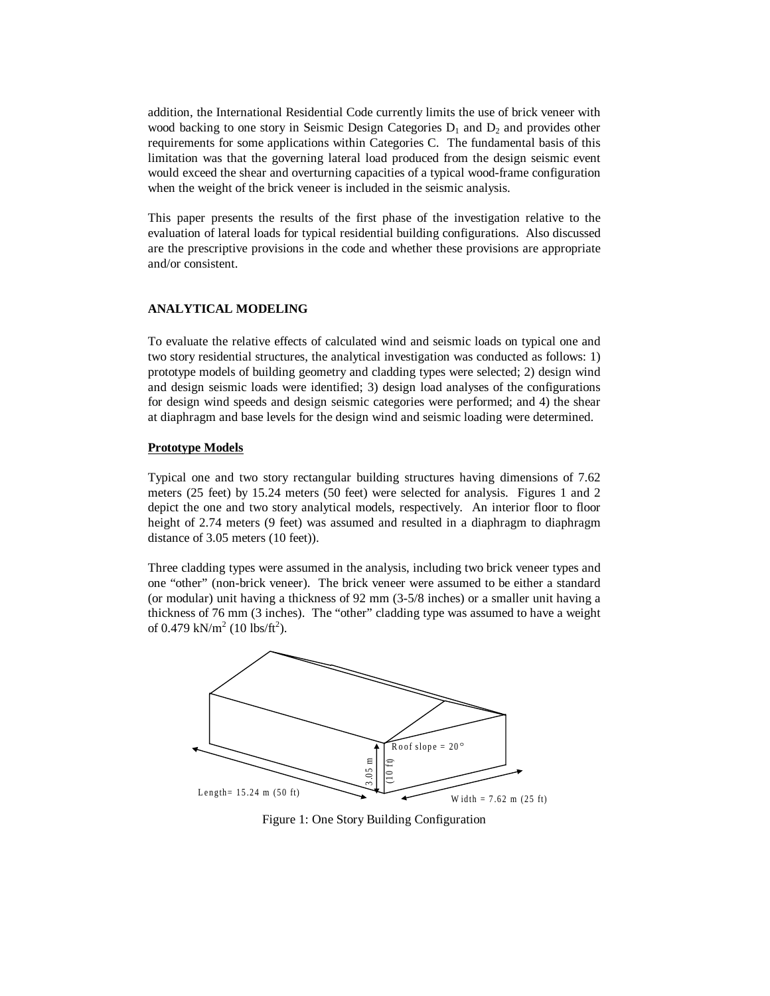addition, the International Residential Code currently limits the use of brick veneer with wood backing to one story in Seismic Design Categories  $D_1$  and  $D_2$  and provides other requirements for some applications within Categories C. The fundamental basis of this limitation was that the governing lateral load produced from the design seismic event would exceed the shear and overturning capacities of a typical wood-frame configuration when the weight of the brick veneer is included in the seismic analysis.

This paper presents the results of the first phase of the investigation relative to the evaluation of lateral loads for typical residential building configurations. Also discussed are the prescriptive provisions in the code and whether these provisions are appropriate and/or consistent.

# **ANALYTICAL MODELING**

To evaluate the relative effects of calculated wind and seismic loads on typical one and two story residential structures, the analytical investigation was conducted as follows: 1) prototype models of building geometry and cladding types were selected; 2) design wind and design seismic loads were identified; 3) design load analyses of the configurations for design wind speeds and design seismic categories were performed; and 4) the shear at diaphragm and base levels for the design wind and seismic loading were determined.

#### **Prototype Models**

Typical one and two story rectangular building structures having dimensions of 7.62 meters (25 feet) by 15.24 meters (50 feet) were selected for analysis. Figures 1 and 2 depict the one and two story analytical models, respectively. An interior floor to floor height of 2.74 meters (9 feet) was assumed and resulted in a diaphragm to diaphragm distance of 3.05 meters (10 feet)).

Three cladding types were assumed in the analysis, including two brick veneer types and one "other" (non-brick veneer). The brick veneer were assumed to be either a standard (or modular) unit having a thickness of 92 mm (3-5/8 inches) or a smaller unit having a thickness of 76 mm (3 inches). The "other" cladding type was assumed to have a weight of 0.479 kN/m<sup>2</sup> (10 lbs/ft<sup>2</sup>).



Figure 1: One Story Building Configuration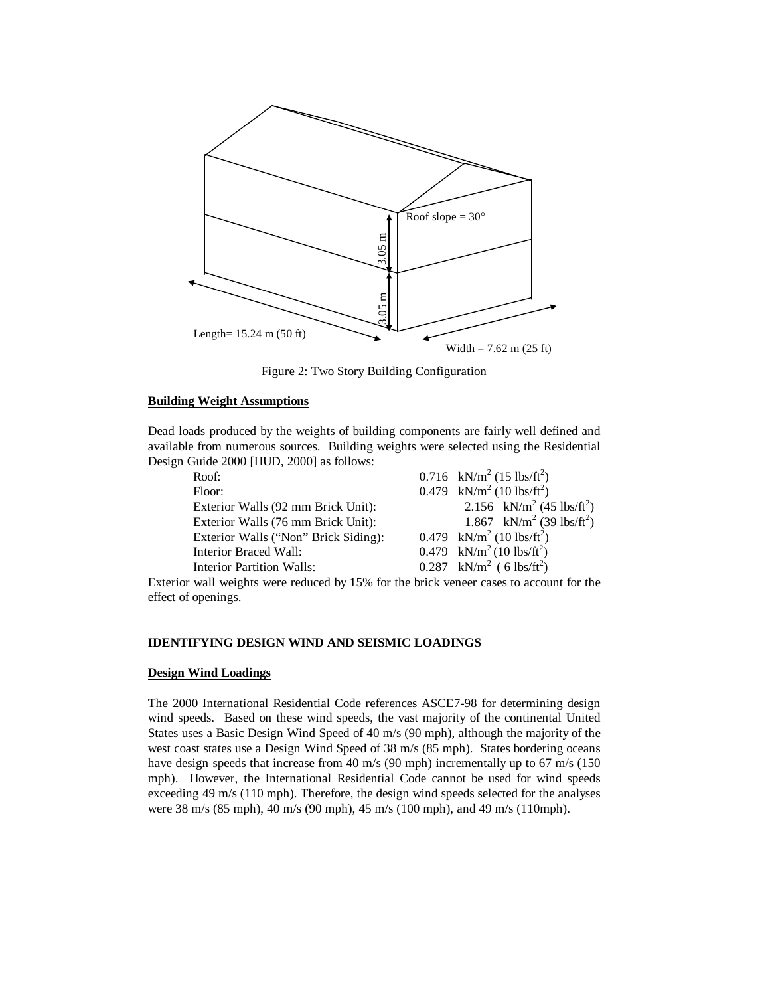

Figure 2: Two Story Building Configuration

# **Building Weight Assumptions**

Dead loads produced by the weights of building components are fairly well defined and available from numerous sources. Building weights were selected using the Residential Design Guide 2000 [HUD, 2000] as follows:

| Roof:                                | 0.716 kN/m <sup>2</sup> (15 lbs/ft <sup>2</sup> ) |
|--------------------------------------|---------------------------------------------------|
| Floor:                               | 0.479 kN/m <sup>2</sup> (10 lbs/ft <sup>2</sup> ) |
| Exterior Walls (92 mm Brick Unit):   | 2.156 kN/m <sup>2</sup> (45 lbs/ft <sup>2</sup> ) |
| Exterior Walls (76 mm Brick Unit):   | 1.867 kN/m <sup>2</sup> (39 lbs/ft <sup>2</sup> ) |
| Exterior Walls ("Non" Brick Siding): | 0.479 kN/m <sup>2</sup> (10 lbs/ft <sup>2</sup> ) |
| Interior Braced Wall:                | 0.479 kN/m <sup>2</sup> (10 lbs/ft <sup>2</sup> ) |
| <b>Interior Partition Walls:</b>     | 0.287 kN/m <sup>2</sup> ( 6 lbs/ft <sup>2</sup> ) |
|                                      |                                                   |

Exterior wall weights were reduced by 15% for the brick veneer cases to account for the effect of openings.

# **IDENTIFYING DESIGN WIND AND SEISMIC LOADINGS**

# **Design Wind Loadings**

The 2000 International Residential Code references ASCE7-98 for determining design wind speeds. Based on these wind speeds, the vast majority of the continental United States uses a Basic Design Wind Speed of 40 m/s (90 mph), although the majority of the west coast states use a Design Wind Speed of 38 m/s (85 mph). States bordering oceans have design speeds that increase from 40 m/s (90 mph) incrementally up to 67 m/s (150 mph). However, the International Residential Code cannot be used for wind speeds exceeding 49 m/s (110 mph). Therefore, the design wind speeds selected for the analyses were 38 m/s (85 mph), 40 m/s (90 mph), 45 m/s (100 mph), and 49 m/s (110mph).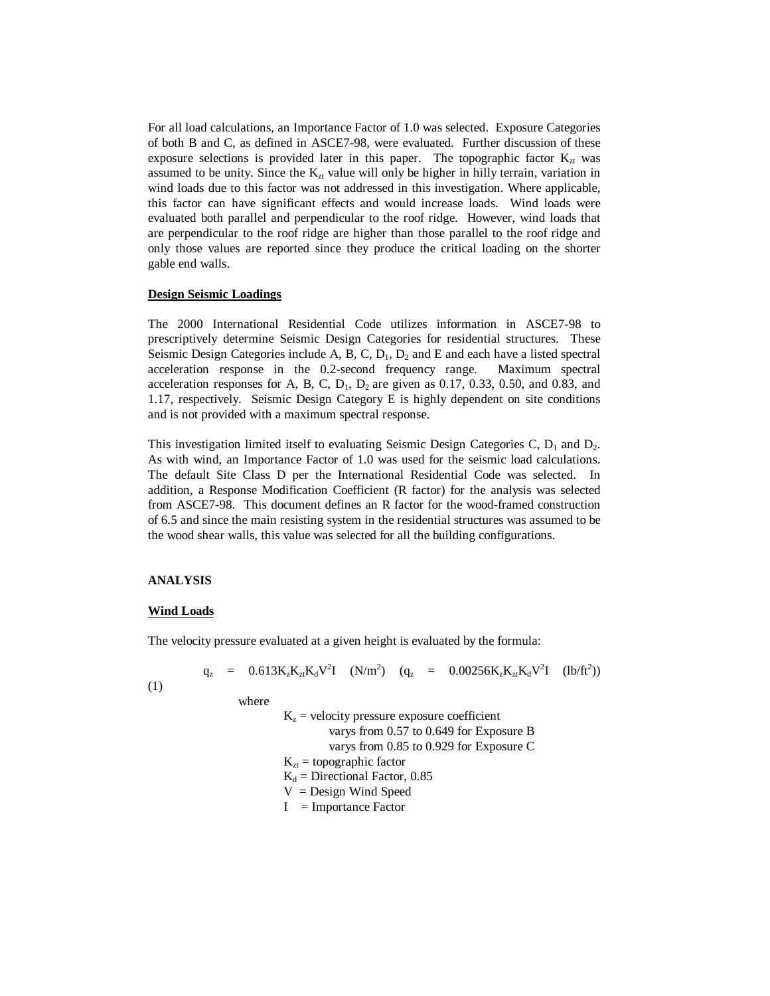For all load calculations, an Importance Factor of 1.0 was selected. Exposure Categories of both B and C, as defined in ASCE7-98, were evaluated. Further discussion of these exposure selections is provided later in this paper. The topographic factor  $K_{zt}$  was assumed to be unity. Since the  $K_{zt}$  value will only be higher in hilly terrain, variation in wind loads due to this factor was not addressed in this investigation. Where applicable, this factor can have significant effects and would increase loads. Wind loads were evaluated both parallel and perpendicular to the roof ridge. However, wind loads that are perpendicular to the roof ridge are higher than those parallel to the roof ridge and only those values are reported since they produce the critical loading on the shorter gable end walls.

#### **Design Seismic Loadings**

The 2000 International Residential Code utilizes information in ASCE7-98 to prescriptively determine Seismic Design Categories for residential structures. These Seismic Design Categories include A, B, C,  $D_1$ ,  $D_2$  and E and each have a listed spectral acceleration response in the 0.2-second frequency range. Maximum spectral acceleration responses for A, B, C,  $D_1$ ,  $D_2$  are given as 0.17, 0.33, 0.50, and 0.83, and 1.17, respectively. Seismic Design Category E is highly dependent on site conditions and is not provided with a maximum spectral response.

This investigation limited itself to evaluating Seismic Design Categories C,  $D_1$  and  $D_2$ . As with wind, an Importance Factor of 1.0 was used for the seismic load calculations. The default Site Class D per the International Residential Code was selected. In addition, a Response Modification Coefficient (R factor) for the analysis was selected from ASCE7-98. This document defines an R factor for the wood-framed construction of 6.5 and since the main resisting system in the residential structures was assumed to be the wood shear walls, this value was selected for all the building configurations.

# **ANALYSIS**

#### **Wind Loads**

The velocity pressure evaluated at a given height is evaluated by the formula:

$$
q_z = 0.613K_zK_{zt}K_dV^2I \quad (N/m^2) \quad (q_z = 0.00256K_zK_{zt}K_dV^2I \quad (lb/ft^2))
$$

(1)

 where  $K<sub>z</sub>$  = velocity pressure exposure coefficient varys from 0.57 to 0.649 for Exposure B varys from 0.85 to 0.929 for Exposure C  $K_{zt}$  = topographic factor  $K_d$  = Directional Factor, 0.85  $V =$  Design Wind Speed  $I =$  Importance Factor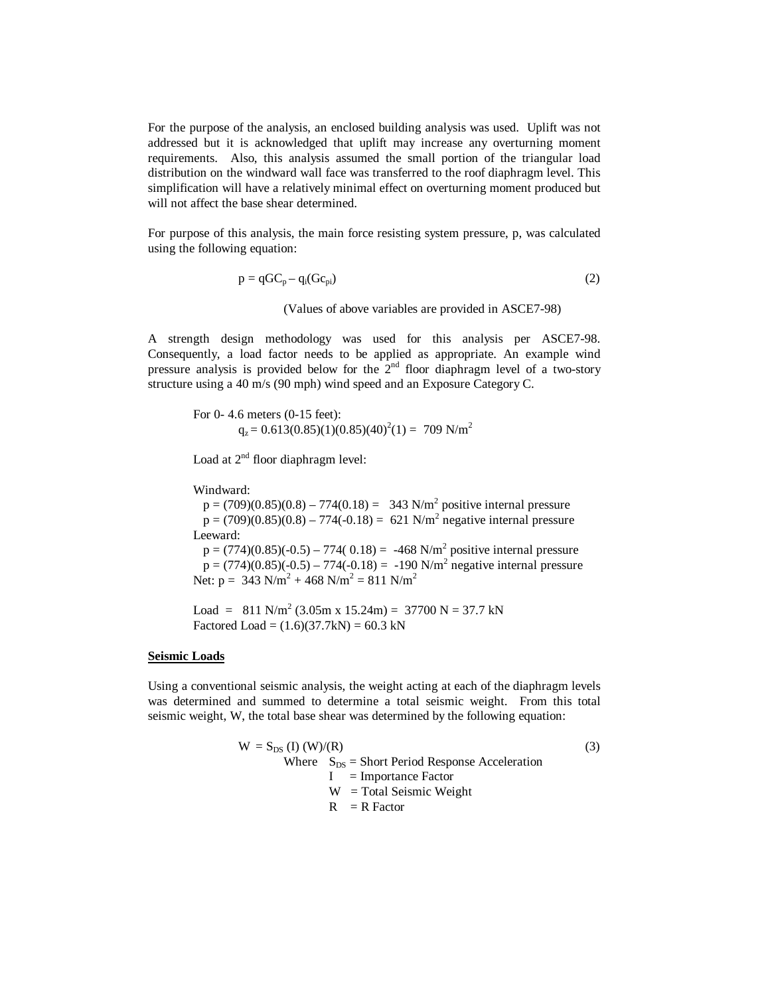For the purpose of the analysis, an enclosed building analysis was used. Uplift was not addressed but it is acknowledged that uplift may increase any overturning moment requirements. Also, this analysis assumed the small portion of the triangular load distribution on the windward wall face was transferred to the roof diaphragm level. This simplification will have a relatively minimal effect on overturning moment produced but will not affect the base shear determined.

For purpose of this analysis, the main force resisting system pressure, p, was calculated using the following equation:

$$
p = qGC_p - q_i(Gc_{pi})
$$
\n(2)

(Values of above variables are provided in ASCE7-98)

A strength design methodology was used for this analysis per ASCE7-98. Consequently, a load factor needs to be applied as appropriate. An example wind pressure analysis is provided below for the  $2<sup>nd</sup>$  floor diaphragm level of a two-story structure using a 40 m/s (90 mph) wind speed and an Exposure Category C.

 For 0- 4.6 meters (0-15 feet):  $q_z = 0.613(0.85)(1)(0.85)(40)^2(1) = 709$  N/m<sup>2</sup>

Load at  $2<sup>nd</sup>$  floor diaphragm level:

Windward:

 $p = (709)(0.85)(0.8) - 774(0.18) = 343$  N/m<sup>2</sup> positive internal pressure  $p = (709)(0.85)(0.8) - 774(-0.18) = 621$  N/m<sup>2</sup> negative internal pressure Leeward:  $p = (774)(0.85)(-0.5) - 774(0.18) = -468$  N/m<sup>2</sup> positive internal pressure

 $p = (774)(0.85)(-0.5) - 774(-0.18) = -190$  N/m<sup>2</sup> negative internal pressure Net:  $p = 343 \text{ N/m}^2 + 468 \text{ N/m}^2 = 811 \text{ N/m}^2$ 

Load =  $811 \text{ N/m}^2 (3.05 \text{ m x } 15.24 \text{ m}) = 37700 \text{ N} = 37.7 \text{ kN}$ Factored Load =  $(1.6)(37.7kN) = 60.3 kN$ 

#### **Seismic Loads**

Using a conventional seismic analysis, the weight acting at each of the diaphragm levels was determined and summed to determine a total seismic weight. From this total seismic weight, W, the total base shear was determined by the following equation:

$$
W = S_{DS} (I) (W)/(R)
$$
\nWhere  $S_{DS} =$  Short Period Response Acceleration

\n
$$
I =
$$
\nImportance Factor

\n
$$
W =
$$
\nTotal Seismic Weight

\n
$$
R = R
$$
\nFactor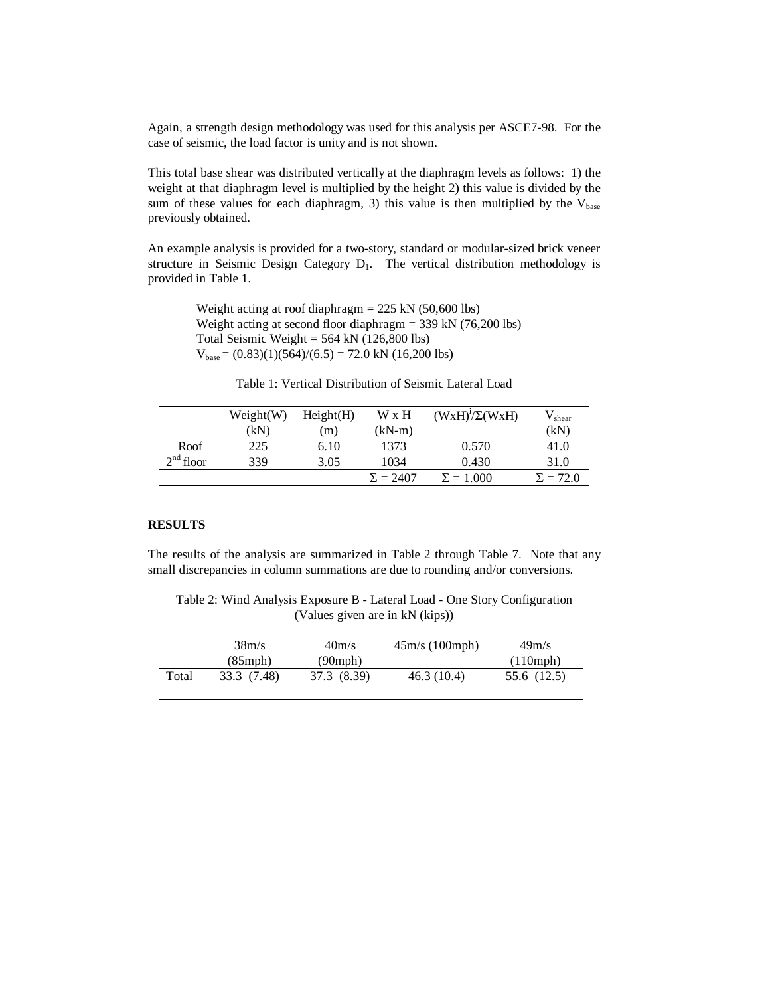Again, a strength design methodology was used for this analysis per ASCE7-98. For the case of seismic, the load factor is unity and is not shown.

This total base shear was distributed vertically at the diaphragm levels as follows: 1) the weight at that diaphragm level is multiplied by the height 2) this value is divided by the sum of these values for each diaphragm, 3) this value is then multiplied by the  $V_{base}$ previously obtained.

An example analysis is provided for a two-story, standard or modular-sized brick veneer structure in Seismic Design Category  $D_1$ . The vertical distribution methodology is provided in Table 1.

> Weight acting at roof diaphragm  $= 225$  kN (50,600 lbs) Weight acting at second floor diaphragm = 339 kN (76,200 lbs) Total Seismic Weight =  $564$  kN (126,800 lbs)  $V_{base} = (0.83)(1)(564)/(6.5) = 72.0$  kN  $(16,200$  lbs)

|             | Weight(W) | Height(H) | W x H           | $(WxH)^{1}/\Sigma(WxH)$ | $\mathcal{N}_{\text{shear}}$ |
|-------------|-----------|-----------|-----------------|-------------------------|------------------------------|
|             | (kN)      | 'm)       | $(kN-m)$        |                         | (kN)                         |
| Roof        | 225       | 6.10      | 1373            | 0.570                   | 41.0                         |
| $2nd$ floor | 339       | 3.05      | 1034            | 0.430                   | 31.0                         |
|             |           |           | $\Sigma = 2407$ | $\Sigma = 1.000$        | $\Sigma = 72.0$              |

# **RESULTS**

The results of the analysis are summarized in Table 2 through Table 7. Note that any small discrepancies in column summations are due to rounding and/or conversions.

Table 2: Wind Analysis Exposure B - Lateral Load - One Story Configuration (Values given are in kN (kips))

|       | 38m/s         | 40m/s         | 45m/s (100mph) | 49m/s       |
|-------|---------------|---------------|----------------|-------------|
|       | $(85$ mph $)$ | $(90$ mph $)$ |                | (110mph)    |
| Total | 33.3 (7.48)   | 37.3 (8.39)   | 46.3 (10.4)    | 55.6 (12.5) |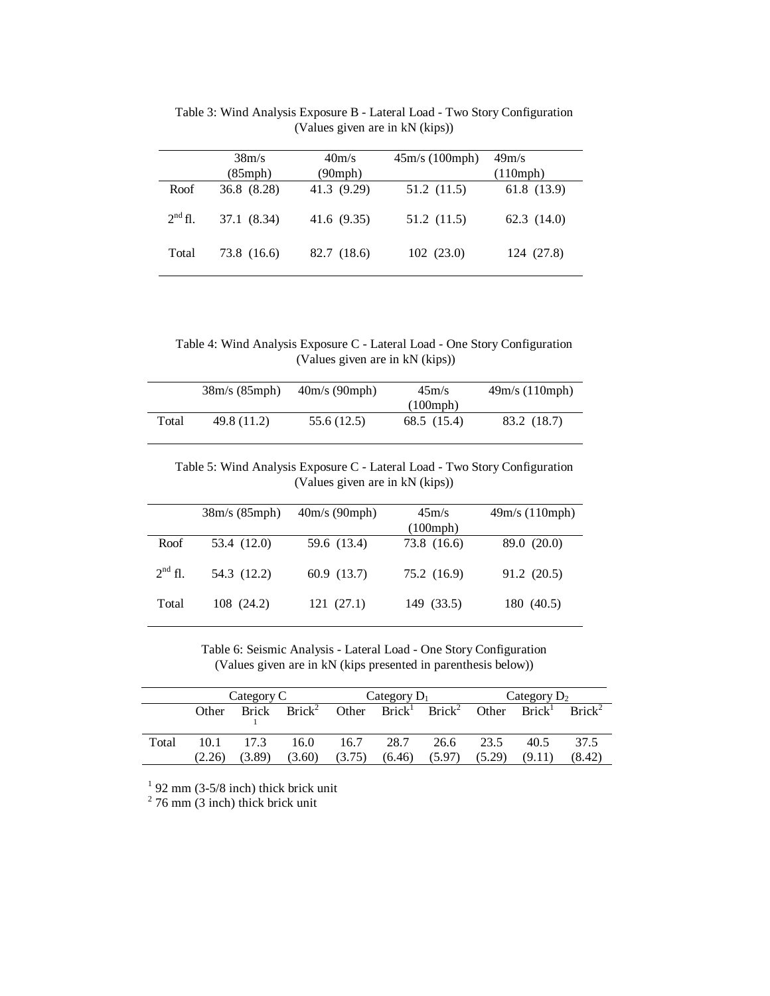|              | 38m/s<br>$(85$ mph $)$ | 40m/s<br>$(90$ mph $)$ | 45m/s (100mph) | 49m/s<br>(110mph) |
|--------------|------------------------|------------------------|----------------|-------------------|
| Roof         | 36.8 (8.28)            | 41.3 (9.29)            | 51.2 (11.5)    | 61.8(13.9)        |
| $2^{nd}$ fl. | 37.1 (8.34)            | 41.6 (9.35)            | 51.2 (11.5)    | 62.3(14.0)        |
| Total        | 73.8 (16.6)            | 82.7 (18.6)            | 102(23.0)      | 124 (27.8)        |

Table 3: Wind Analysis Exposure B - Lateral Load - Two Story Configuration (Values given are in kN (kips))

Table 4: Wind Analysis Exposure C - Lateral Load - One Story Configuration (Values given are in kN (kips))

|       | 38m/s (85mph) | 40m/s (90mph) | 45m/s               | 49m/s (110mph) |
|-------|---------------|---------------|---------------------|----------------|
|       |               |               | $(100 \text{ mph})$ |                |
| Total | 49.8 (11.2)   | 55.6 (12.5)   | 68.5 (15.4)         | 83.2 (18.7)    |

Table 5: Wind Analysis Exposure C - Lateral Load - Two Story Configuration (Values given are in kN (kips))

|              | 38m/s (85mph) | 40m/s (90mph) | 45m/s<br>(100 mph) | 49m/s (110mph) |
|--------------|---------------|---------------|--------------------|----------------|
| Roof         | 53.4 (12.0)   | 59.6 (13.4)   | 73.8 (16.6)        | 89.0 (20.0)    |
| $2^{nd}$ fl. | 54.3 (12.2)   | 60.9(13.7)    | 75.2 (16.9)        | 91.2 (20.5)    |
| Total        | 108 (24.2)    | 121 (27.1)    | 149 (33.5)         | 180 (40.5)     |

Table 6: Seismic Analysis - Lateral Load - One Story Configuration (Values given are in kN (kips presented in parenthesis below))

|       | Category C |                | Category $D_1$           |           |        | Category $D_2$                                                                            |        |        |        |
|-------|------------|----------------|--------------------------|-----------|--------|-------------------------------------------------------------------------------------------|--------|--------|--------|
|       | Other      |                | Brick Brick <sup>2</sup> |           |        | Other $\overline{Brick}^1$ Brick <sup>2</sup> Other Brick <sup>1</sup> Brick <sup>2</sup> |        |        |        |
| Total |            | $10.1 \t 17.3$ | 16.0                     | 16.7 28.7 |        | 26.6 23.5                                                                                 |        | 40.5   | 37.5   |
|       | (2.26)     | (3.89)         | (3.60)                   | (3.75)    | (6.46) | (5.97)                                                                                    | (5.29) | (9.11) | (8.42) |

<sup>1</sup> 92 mm (3-5/8 inch) thick brick unit  $2^{2}$  76 mm (3 inch) thick brick unit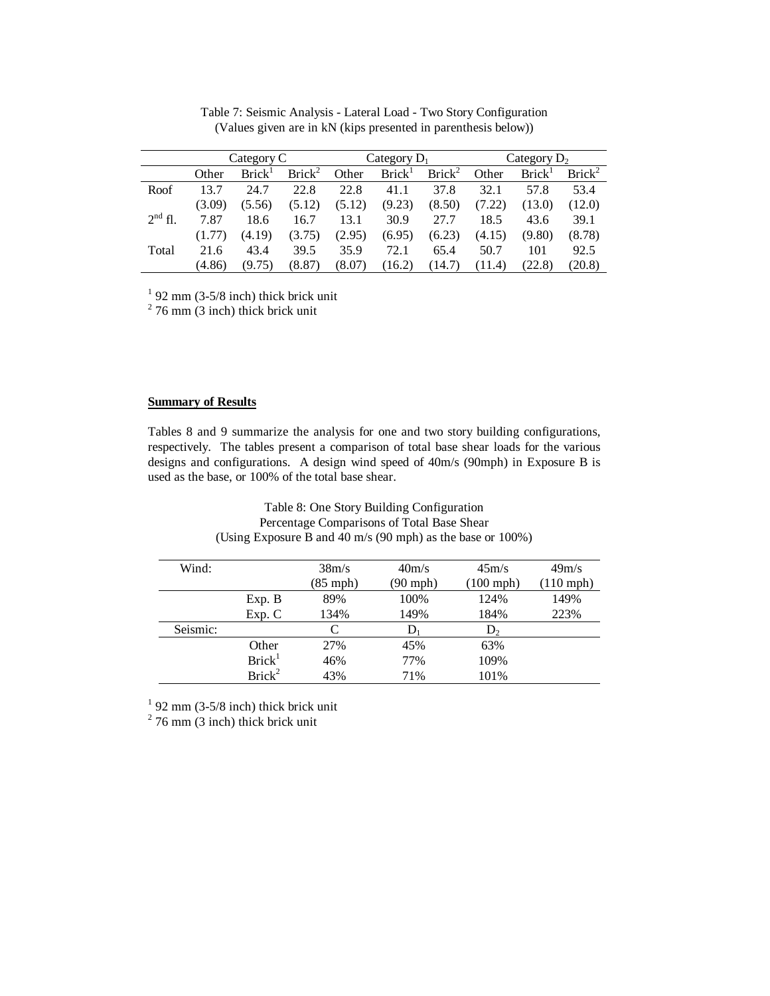|           | Category C |                    | Category $D_1$     |        |                    | Category $D_2$     |        |                    |                    |
|-----------|------------|--------------------|--------------------|--------|--------------------|--------------------|--------|--------------------|--------------------|
|           | Other      | Brick <sup>1</sup> | Brick <sup>2</sup> | Other  | Brick <sup>1</sup> | Brick <sup>2</sup> | Other  | Brick <sup>1</sup> | Brick <sup>2</sup> |
| Roof      | 13.7       | 24.7               | 22.8               | 22.8   | 41.1               | 37.8               | 32.1   | 57.8               | 53.4               |
|           | (3.09)     | (5.56)             | (5.12)             | (5.12) | (9.23)             | (8.50)             | (7.22) | (13.0)             | (12.0)             |
| $2nd$ fl. | 7.87       | 18.6               | 16.7               | 13.1   | 30.9               | 27.7               | 18.5   | 43.6               | 39.1               |
|           | (1.77)     | (4.19)             | (3.75)             | (2.95) | (6.95)             | (6.23)             | (4.15) | (9.80)             | (8.78)             |
| Total     | 21.6       | 43.4               | 39.5               | 35.9   | 72.1               | 65.4               | 50.7   | 101                | 92.5               |
|           | (4.86)     | (9.75)             | (8.87)             | (8.07) | (16.2)             | (14.7)             | (11.4) | (22.8)             | (20.8)             |

Table 7: Seismic Analysis - Lateral Load - Two Story Configuration (Values given are in kN (kips presented in parenthesis below))

 $1$  92 mm (3-5/8 inch) thick brick unit

 $2$  76 mm (3 inch) thick brick unit

# **Summary of Results**

Tables 8 and 9 summarize the analysis for one and two story building configurations, respectively. The tables present a comparison of total base shear loads for the various designs and configurations. A design wind speed of 40m/s (90mph) in Exposure B is used as the base, or 100% of the total base shear.

| (Using Exposure B and 40 m/s (90 mph) as the base or 100%) |                    |                    |          |                     |                     |  |  |
|------------------------------------------------------------|--------------------|--------------------|----------|---------------------|---------------------|--|--|
| Wind:                                                      |                    | 38m/s              | 40m/s    | 45m/s               | 49m/s               |  |  |
|                                                            |                    | $(85 \text{ mph})$ | (90 mph) | $(100 \text{ mph})$ | $(110 \text{ mph})$ |  |  |
|                                                            | Exp. B             | 89%                | 100%     | 124%                | 149%                |  |  |
|                                                            | Exp. C             | 134%               | 149%     | 184%                | 223%                |  |  |
| Seismic:                                                   |                    | C                  | D        | $D_{2}$             |                     |  |  |
|                                                            | Other              | 27%                | 45%      | 63%                 |                     |  |  |
|                                                            | Brick <sup>1</sup> | 46%                | 77%      | 109%                |                     |  |  |
|                                                            | Brick <sup>2</sup> | 43%                | 71%      | 101%                |                     |  |  |

# Table 8: One Story Building Configuration Percentage Comparisons of Total Base Shear

<sup>1</sup> 92 mm (3-5/8 inch) thick brick unit  $2^2$  76 mm (3 inch) thick brick unit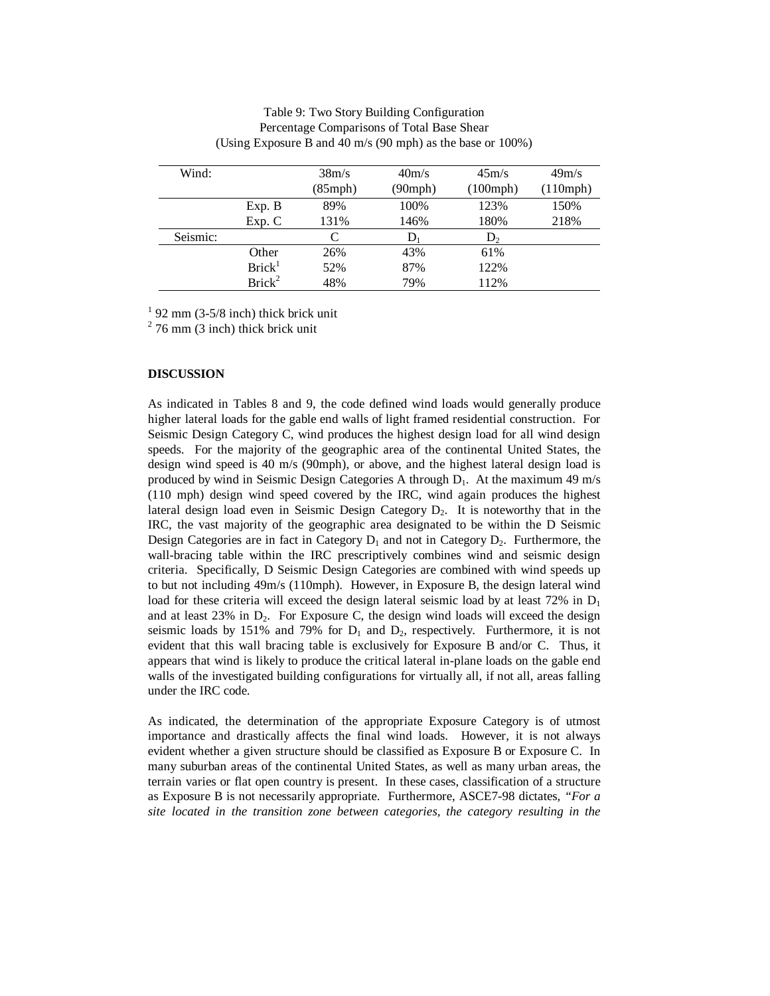| Wind:    |                    | 38m/s         | 40m/s         | 45m/s               | 49m/s    |
|----------|--------------------|---------------|---------------|---------------------|----------|
|          |                    | $(85$ mph $)$ | $(90$ mph $)$ | $(100 \text{ mph})$ | (110mph) |
|          | Exp. B             | 89%           | 100%          | 123%                | 150%     |
|          | Exp. C             | 131%          | 146%          | 180%                | 218%     |
| Seismic: |                    | С             | IJ            | $D_{2}$             |          |
|          | Other              | 26%           | 43%           | 61%                 |          |
|          | Brick <sup>1</sup> | 52%           | 87%           | 122%                |          |
|          | Brick <sup>2</sup> | 48%           | 79%           | 112%                |          |

# Table 9: Two Story Building Configuration Percentage Comparisons of Total Base Shear (Using Exposure B and 40 m/s (90 mph) as the base or 100%)

 $1$  92 mm (3-5/8 inch) thick brick unit

 $2$  76 mm (3 inch) thick brick unit

# **DISCUSSION**

As indicated in Tables 8 and 9, the code defined wind loads would generally produce higher lateral loads for the gable end walls of light framed residential construction. For Seismic Design Category C, wind produces the highest design load for all wind design speeds. For the majority of the geographic area of the continental United States, the design wind speed is 40 m/s (90mph), or above, and the highest lateral design load is produced by wind in Seismic Design Categories A through  $D_1$ . At the maximum 49 m/s (110 mph) design wind speed covered by the IRC, wind again produces the highest lateral design load even in Seismic Design Category  $D_2$ . It is noteworthy that in the IRC, the vast majority of the geographic area designated to be within the D Seismic Design Categories are in fact in Category  $D_1$  and not in Category  $D_2$ . Furthermore, the wall-bracing table within the IRC prescriptively combines wind and seismic design criteria. Specifically, D Seismic Design Categories are combined with wind speeds up to but not including 49m/s (110mph). However, in Exposure B, the design lateral wind load for these criteria will exceed the design lateral seismic load by at least 72% in  $D_1$ and at least  $23\%$  in  $D_2$ . For Exposure C, the design wind loads will exceed the design seismic loads by 151% and 79% for  $D_1$  and  $D_2$ , respectively. Furthermore, it is not evident that this wall bracing table is exclusively for Exposure B and/or C. Thus, it appears that wind is likely to produce the critical lateral in-plane loads on the gable end walls of the investigated building configurations for virtually all, if not all, areas falling under the IRC code.

As indicated, the determination of the appropriate Exposure Category is of utmost importance and drastically affects the final wind loads. However, it is not always evident whether a given structure should be classified as Exposure B or Exposure C. In many suburban areas of the continental United States, as well as many urban areas, the terrain varies or flat open country is present. In these cases, classification of a structure as Exposure B is not necessarily appropriate. Furthermore, ASCE7-98 dictates*, "For a site located in the transition zone between categories, the category resulting in the*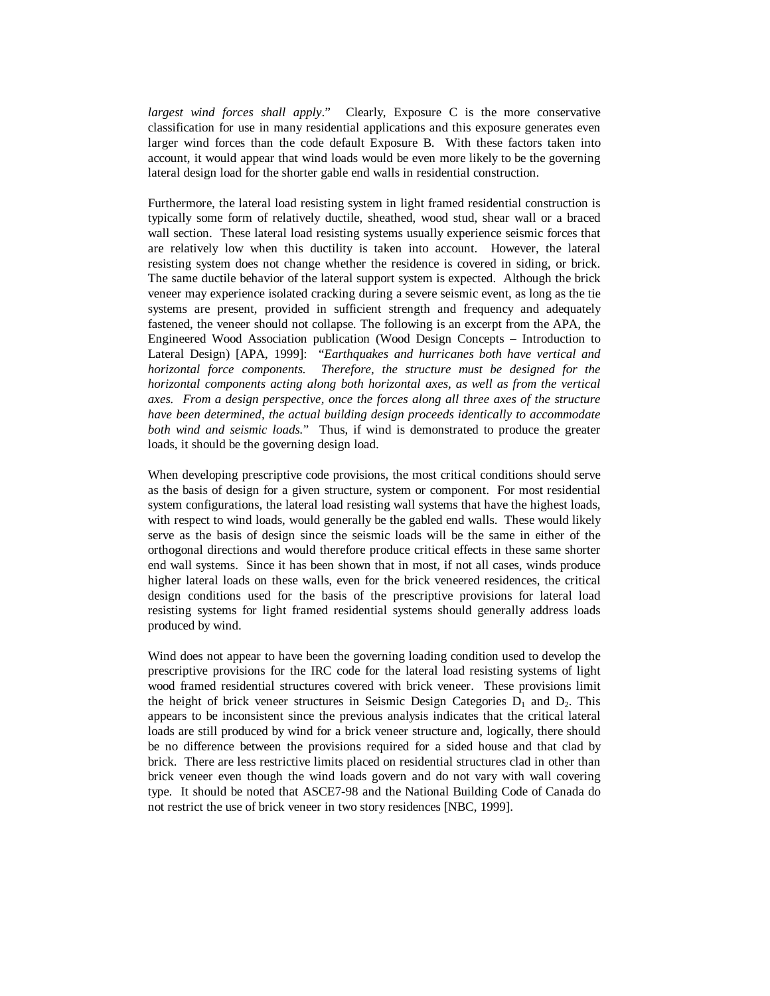*largest wind forces shall apply*." Clearly, Exposure C is the more conservative classification for use in many residential applications and this exposure generates even larger wind forces than the code default Exposure B. With these factors taken into account, it would appear that wind loads would be even more likely to be the governing lateral design load for the shorter gable end walls in residential construction.

Furthermore, the lateral load resisting system in light framed residential construction is typically some form of relatively ductile, sheathed, wood stud, shear wall or a braced wall section. These lateral load resisting systems usually experience seismic forces that are relatively low when this ductility is taken into account. However, the lateral resisting system does not change whether the residence is covered in siding, or brick. The same ductile behavior of the lateral support system is expected. Although the brick veneer may experience isolated cracking during a severe seismic event, as long as the tie systems are present, provided in sufficient strength and frequency and adequately fastened, the veneer should not collapse. The following is an excerpt from the APA, the Engineered Wood Association publication (Wood Design Concepts – Introduction to Lateral Design) [APA, 1999]: "*Earthquakes and hurricanes both have vertical and horizontal force components. Therefore, the structure must be designed for the horizontal components acting along both horizontal axes, as well as from the vertical axes. From a design perspective, once the forces along all three axes of the structure have been determined, the actual building design proceeds identically to accommodate both wind and seismic loads.*"Thus, if wind is demonstrated to produce the greater loads, it should be the governing design load.

When developing prescriptive code provisions, the most critical conditions should serve as the basis of design for a given structure, system or component. For most residential system configurations, the lateral load resisting wall systems that have the highest loads, with respect to wind loads, would generally be the gabled end walls. These would likely serve as the basis of design since the seismic loads will be the same in either of the orthogonal directions and would therefore produce critical effects in these same shorter end wall systems. Since it has been shown that in most, if not all cases, winds produce higher lateral loads on these walls, even for the brick veneered residences, the critical design conditions used for the basis of the prescriptive provisions for lateral load resisting systems for light framed residential systems should generally address loads produced by wind.

Wind does not appear to have been the governing loading condition used to develop the prescriptive provisions for the IRC code for the lateral load resisting systems of light wood framed residential structures covered with brick veneer. These provisions limit the height of brick veneer structures in Seismic Design Categories  $D_1$  and  $D_2$ . This appears to be inconsistent since the previous analysis indicates that the critical lateral loads are still produced by wind for a brick veneer structure and, logically, there should be no difference between the provisions required for a sided house and that clad by brick. There are less restrictive limits placed on residential structures clad in other than brick veneer even though the wind loads govern and do not vary with wall covering type. It should be noted that ASCE7-98 and the National Building Code of Canada do not restrict the use of brick veneer in two story residences [NBC, 1999].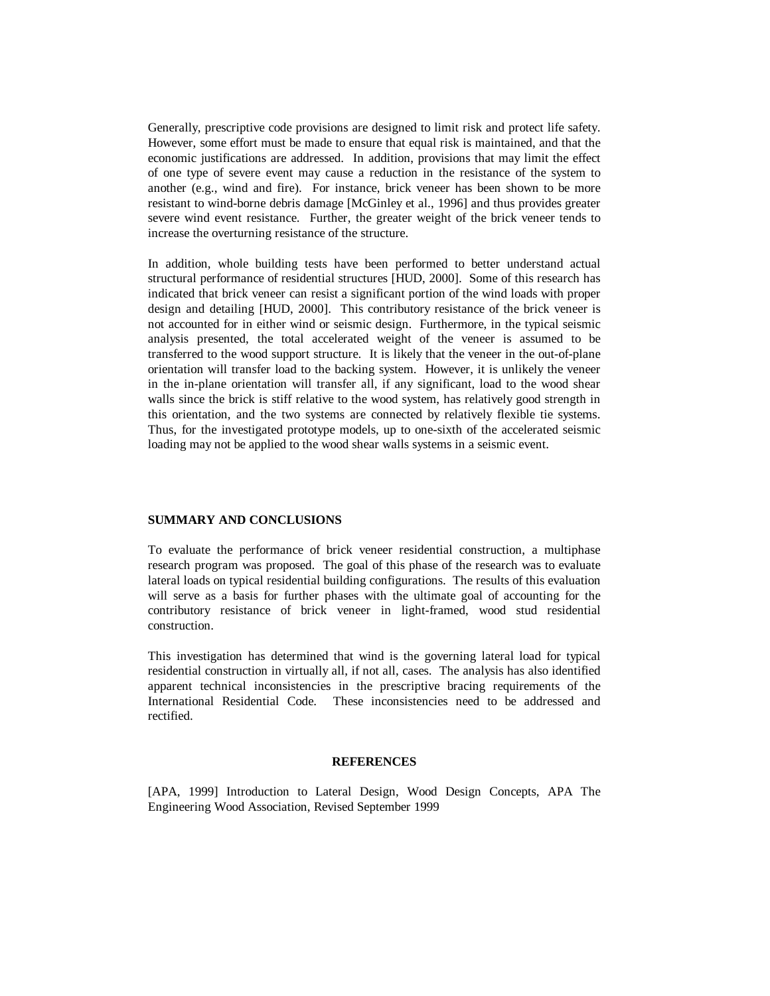Generally, prescriptive code provisions are designed to limit risk and protect life safety. However, some effort must be made to ensure that equal risk is maintained, and that the economic justifications are addressed. In addition, provisions that may limit the effect of one type of severe event may cause a reduction in the resistance of the system to another (e.g., wind and fire). For instance, brick veneer has been shown to be more resistant to wind-borne debris damage [McGinley et al., 1996] and thus provides greater severe wind event resistance. Further, the greater weight of the brick veneer tends to increase the overturning resistance of the structure.

In addition, whole building tests have been performed to better understand actual structural performance of residential structures [HUD, 2000]. Some of this research has indicated that brick veneer can resist a significant portion of the wind loads with proper design and detailing [HUD, 2000]. This contributory resistance of the brick veneer is not accounted for in either wind or seismic design. Furthermore, in the typical seismic analysis presented, the total accelerated weight of the veneer is assumed to be transferred to the wood support structure. It is likely that the veneer in the out-of-plane orientation will transfer load to the backing system. However, it is unlikely the veneer in the in-plane orientation will transfer all, if any significant, load to the wood shear walls since the brick is stiff relative to the wood system, has relatively good strength in this orientation, and the two systems are connected by relatively flexible tie systems. Thus, for the investigated prototype models, up to one-sixth of the accelerated seismic loading may not be applied to the wood shear walls systems in a seismic event.

#### **SUMMARY AND CONCLUSIONS**

To evaluate the performance of brick veneer residential construction, a multiphase research program was proposed. The goal of this phase of the research was to evaluate lateral loads on typical residential building configurations. The results of this evaluation will serve as a basis for further phases with the ultimate goal of accounting for the contributory resistance of brick veneer in light-framed, wood stud residential construction.

This investigation has determined that wind is the governing lateral load for typical residential construction in virtually all, if not all, cases. The analysis has also identified apparent technical inconsistencies in the prescriptive bracing requirements of the International Residential Code. These inconsistencies need to be addressed and rectified.

# **REFERENCES**

[APA, 1999] Introduction to Lateral Design, Wood Design Concepts, APA The Engineering Wood Association, Revised September 1999